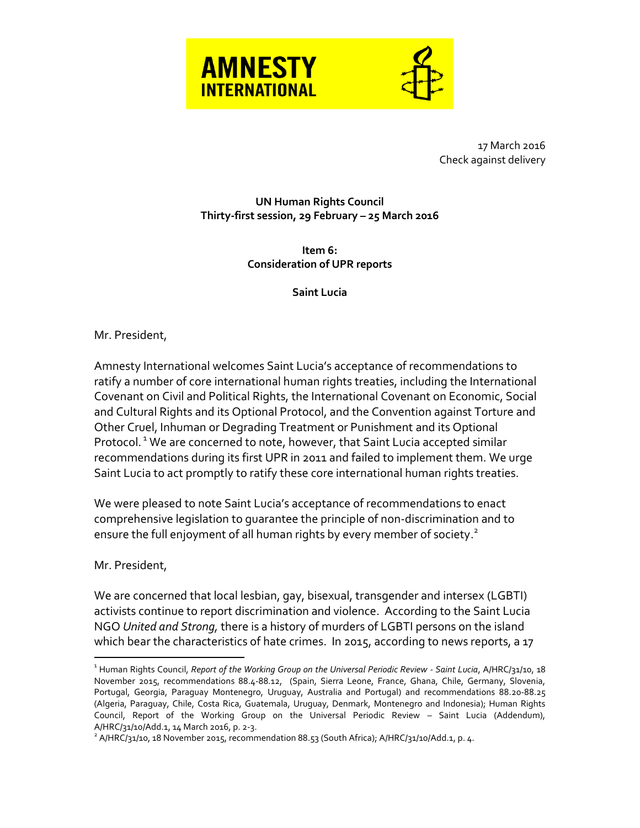



17 March 2016 Check against delivery

## **UN Human Rights Council Thirty-first session, 29 February – 25 March 2016**

**Item 6: Consideration of UPR reports**

**Saint Lucia**

Mr. President,

Amnesty International welcomes Saint Lucia's acceptance of recommendations to ratify a number of core international human rights treaties, including the International Covenant on Civil and Political Rights, the International Covenant on Economic, Social and Cultural Rights and its Optional Protocol, and the Convention against Torture and Other Cruel, Inhuman or Degrading Treatment or Punishment and its Optional Protocol.<sup>1</sup> We are concerned to note, however, that Saint Lucia accepted similar recommendations during its first UPR in 2011 and failed to implement them. We urge Saint Lucia to act promptly to ratify these core international human rights treaties.

We were pleased to note Saint Lucia's acceptance of recommendations to enact comprehensive legislation to guarantee the principle of non-discrimination and to ensure the full enjoyment of all human rights by every member of society. $^2$ 

Mr. President,

 $\overline{a}$ 

We are concerned that local lesbian, gay, bisexual, transgender and intersex (LGBTI) activists continue to report discrimination and violence. According to the Saint Lucia NGO *United and Strong,* there is a history of murders of LGBTI persons on the island which bear the characteristics of hate crimes. In 2015, according to news reports, a 17

<sup>1</sup> Human Rights Council, *Report of the Working Group on the Universal Periodic Review - Saint Lucia*, A/HRC/31/10, 18 November 2015, recommendations 88.4-88.12, (Spain, Sierra Leone, France, Ghana, Chile, Germany, Slovenia, Portugal, Georgia, Paraguay Montenegro, Uruguay, Australia and Portugal) and recommendations 88.20-88.25 (Algeria, Paraguay, Chile, Costa Rica, Guatemala, Uruguay, Denmark, Montenegro and Indonesia); Human Rights Council, Report of the Working Group on the Universal Periodic Review – Saint Lucia (Addendum), A/HRC/31/10/Add.1, 14 March 2016, p. 2-3.

 $^2$  A/HRC/31/10, 18 November 2015, recommendation 88.53 (South Africa); A/HRC/31/10/Add.1, p. 4.